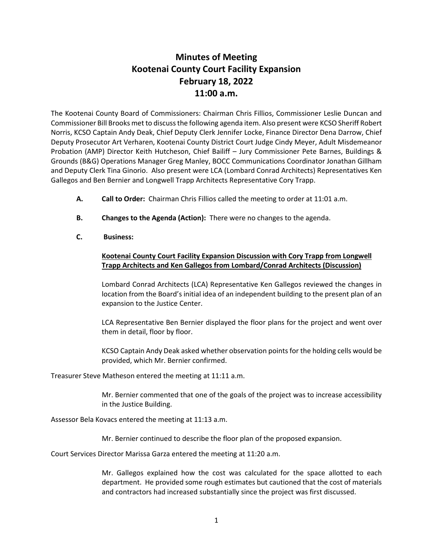## **Minutes of Meeting Kootenai County Court Facility Expansion February 18, 2022 11:00 a.m.**

The Kootenai County Board of Commissioners: Chairman Chris Fillios, Commissioner Leslie Duncan and Commissioner Bill Brooks met to discuss the following agenda item. Also present were KCSO Sheriff Robert Norris, KCSO Captain Andy Deak, Chief Deputy Clerk Jennifer Locke, Finance Director Dena Darrow, Chief Deputy Prosecutor Art Verharen, Kootenai County District Court Judge Cindy Meyer, Adult Misdemeanor Probation (AMP) Director Keith Hutcheson, Chief Bailiff – Jury Commissioner Pete Barnes, Buildings & Grounds (B&G) Operations Manager Greg Manley, BOCC Communications Coordinator Jonathan Gillham and Deputy Clerk Tina Ginorio. Also present were LCA (Lombard Conrad Architects) Representatives Ken Gallegos and Ben Bernier and Longwell Trapp Architects Representative Cory Trapp.

- **A. Call to Order:** Chairman Chris Fillios called the meeting to order at 11:01 a.m.
- **B. Changes to the Agenda (Action):** There were no changes to the agenda.
- **C. Business:**

## **Kootenai County Court Facility Expansion Discussion with Cory Trapp from Longwell Trapp Architects and Ken Gallegos from Lombard/Conrad Architects (Discussion)**

Lombard Conrad Architects (LCA) Representative Ken Gallegos reviewed the changes in location from the Board's initial idea of an independent building to the present plan of an expansion to the Justice Center.

LCA Representative Ben Bernier displayed the floor plans for the project and went over them in detail, floor by floor.

KCSO Captain Andy Deak asked whether observation points for the holding cells would be provided, which Mr. Bernier confirmed.

Treasurer Steve Matheson entered the meeting at 11:11 a.m.

Mr. Bernier commented that one of the goals of the project was to increase accessibility in the Justice Building.

Assessor Bela Kovacs entered the meeting at 11:13 a.m.

Mr. Bernier continued to describe the floor plan of the proposed expansion.

Court Services Director Marissa Garza entered the meeting at 11:20 a.m.

Mr. Gallegos explained how the cost was calculated for the space allotted to each department. He provided some rough estimates but cautioned that the cost of materials and contractors had increased substantially since the project was first discussed.